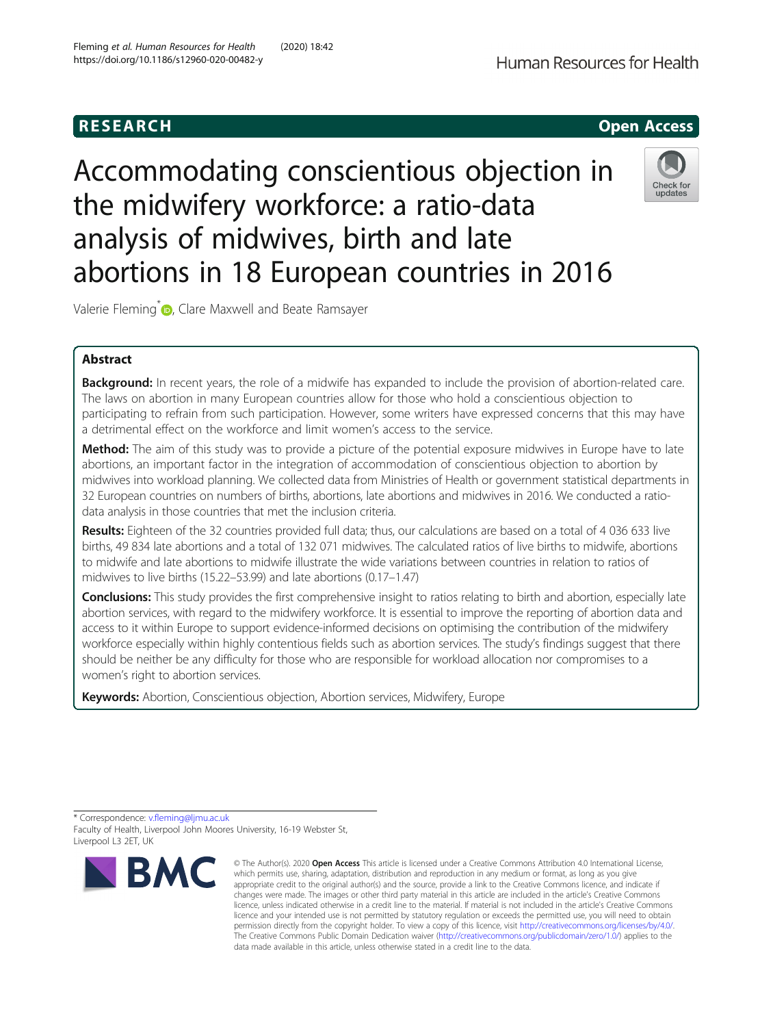# **RESEARCH CHILD CONTROL** CONTROL CONTROL CONTROL CONTROL CONTROL CONTROL CONTROL CONTROL CONTROL CONTROL CONTROL CONTROL CONTROL CONTROL CONTROL CONTROL CONTROL CONTROL CONTROL CONTROL CONTROL CONTROL CONTROL CONTROL CONTR

# Accommodating conscientious objection in the midwifery workforce: a ratio-data analysis of midwives, birth and late abortions in 18 European countries in 2016

Valerie Fleming<sup>\*</sup> <sub>D</sub>[,](http://orcid.org/0000-0002-4672-4843) Clare Maxwell and Beate Ramsayer

# Abstract

**Background:** In recent years, the role of a midwife has expanded to include the provision of abortion-related care. The laws on abortion in many European countries allow for those who hold a conscientious objection to participating to refrain from such participation. However, some writers have expressed concerns that this may have a detrimental effect on the workforce and limit women's access to the service.

**Method:** The aim of this study was to provide a picture of the potential exposure midwives in Europe have to late abortions, an important factor in the integration of accommodation of conscientious objection to abortion by midwives into workload planning. We collected data from Ministries of Health or government statistical departments in 32 European countries on numbers of births, abortions, late abortions and midwives in 2016. We conducted a ratiodata analysis in those countries that met the inclusion criteria.

Results: Eighteen of the 32 countries provided full data; thus, our calculations are based on a total of 4 036 633 live births, 49 834 late abortions and a total of 132 071 midwives. The calculated ratios of live births to midwife, abortions to midwife and late abortions to midwife illustrate the wide variations between countries in relation to ratios of midwives to live births (15.22–53.99) and late abortions (0.17–1.47)

Conclusions: This study provides the first comprehensive insight to ratios relating to birth and abortion, especially late abortion services, with regard to the midwifery workforce. It is essential to improve the reporting of abortion data and access to it within Europe to support evidence-informed decisions on optimising the contribution of the midwifery workforce especially within highly contentious fields such as abortion services. The study's findings suggest that there should be neither be any difficulty for those who are responsible for workload allocation nor compromises to a women's right to abortion services.

Keywords: Abortion, Conscientious objection, Abortion services, Midwifery, Europe

\* Correspondence: [v.fleming@ljmu.ac.uk](mailto:v.fleming@ljmu.ac.uk) Faculty of Health, Liverpool John Moores University, 16-19 Webster St, Liverpool L3 2ET, UK

**RMC** 





<sup>©</sup> The Author(s), 2020 **Open Access** This article is licensed under a Creative Commons Attribution 4.0 International License, which permits use, sharing, adaptation, distribution and reproduction in any medium or format, as long as you give appropriate credit to the original author(s) and the source, provide a link to the Creative Commons licence, and indicate if changes were made. The images or other third party material in this article are included in the article's Creative Commons licence, unless indicated otherwise in a credit line to the material. If material is not included in the article's Creative Commons licence and your intended use is not permitted by statutory regulation or exceeds the permitted use, you will need to obtain permission directly from the copyright holder. To view a copy of this licence, visit [http://creativecommons.org/licenses/by/4.0/.](http://creativecommons.org/licenses/by/4.0/) The Creative Commons Public Domain Dedication waiver [\(http://creativecommons.org/publicdomain/zero/1.0/](http://creativecommons.org/publicdomain/zero/1.0/)) applies to the data made available in this article, unless otherwise stated in a credit line to the data.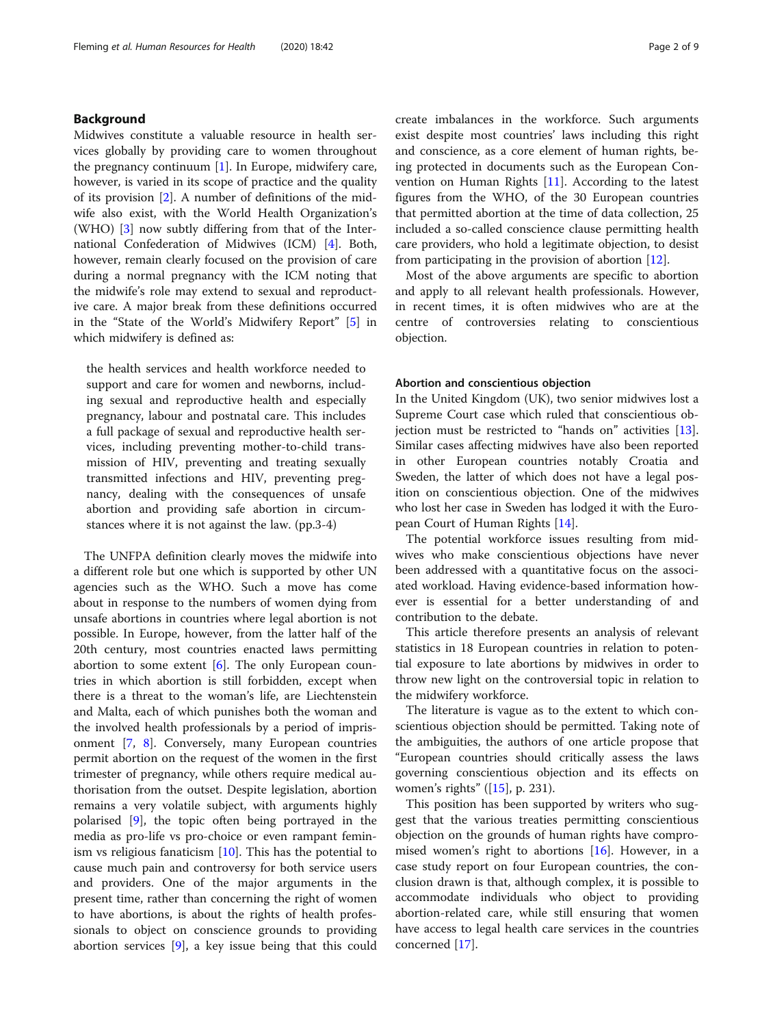# Background

Midwives constitute a valuable resource in health services globally by providing care to women throughout the pregnancy continuum  $[1]$  $[1]$  $[1]$ . In Europe, midwifery care, however, is varied in its scope of practice and the quality of its provision [[2\]](#page-8-0). A number of definitions of the midwife also exist, with the World Health Organization's (WHO) [\[3](#page-8-0)] now subtly differing from that of the International Confederation of Midwives (ICM) [[4\]](#page-8-0). Both, however, remain clearly focused on the provision of care during a normal pregnancy with the ICM noting that the midwife's role may extend to sexual and reproductive care. A major break from these definitions occurred in the "State of the World's Midwifery Report" [[5\]](#page-8-0) in which midwifery is defined as:

the health services and health workforce needed to support and care for women and newborns, including sexual and reproductive health and especially pregnancy, labour and postnatal care. This includes a full package of sexual and reproductive health services, including preventing mother-to-child transmission of HIV, preventing and treating sexually transmitted infections and HIV, preventing pregnancy, dealing with the consequences of unsafe abortion and providing safe abortion in circumstances where it is not against the law. (pp.3-4)

The UNFPA definition clearly moves the midwife into a different role but one which is supported by other UN agencies such as the WHO. Such a move has come about in response to the numbers of women dying from unsafe abortions in countries where legal abortion is not possible. In Europe, however, from the latter half of the 20th century, most countries enacted laws permitting abortion to some extent [[6\]](#page-8-0). The only European countries in which abortion is still forbidden, except when there is a threat to the woman's life, are Liechtenstein and Malta, each of which punishes both the woman and the involved health professionals by a period of imprisonment [\[7](#page-8-0), [8](#page-8-0)]. Conversely, many European countries permit abortion on the request of the women in the first trimester of pregnancy, while others require medical authorisation from the outset. Despite legislation, abortion remains a very volatile subject, with arguments highly polarised [[9\]](#page-8-0), the topic often being portrayed in the media as pro-life vs pro-choice or even rampant feminism vs religious fanaticism [\[10](#page-8-0)]. This has the potential to cause much pain and controversy for both service users and providers. One of the major arguments in the present time, rather than concerning the right of women to have abortions, is about the rights of health professionals to object on conscience grounds to providing abortion services [[9\]](#page-8-0), a key issue being that this could create imbalances in the workforce. Such arguments exist despite most countries' laws including this right and conscience, as a core element of human rights, being protected in documents such as the European Convention on Human Rights [[11\]](#page-8-0). According to the latest figures from the WHO, of the 30 European countries that permitted abortion at the time of data collection, 25 included a so-called conscience clause permitting health care providers, who hold a legitimate objection, to desist from participating in the provision of abortion [\[12\]](#page-8-0).

Most of the above arguments are specific to abortion and apply to all relevant health professionals. However, in recent times, it is often midwives who are at the centre of controversies relating to conscientious objection.

#### Abortion and conscientious objection

In the United Kingdom (UK), two senior midwives lost a Supreme Court case which ruled that conscientious objection must be restricted to "hands on" activities [\[13](#page-8-0)]. Similar cases affecting midwives have also been reported in other European countries notably Croatia and Sweden, the latter of which does not have a legal position on conscientious objection. One of the midwives who lost her case in Sweden has lodged it with the European Court of Human Rights [\[14](#page-8-0)].

The potential workforce issues resulting from midwives who make conscientious objections have never been addressed with a quantitative focus on the associated workload. Having evidence-based information however is essential for a better understanding of and contribution to the debate.

This article therefore presents an analysis of relevant statistics in 18 European countries in relation to potential exposure to late abortions by midwives in order to throw new light on the controversial topic in relation to the midwifery workforce.

The literature is vague as to the extent to which conscientious objection should be permitted. Taking note of the ambiguities, the authors of one article propose that "European countries should critically assess the laws governing conscientious objection and its effects on women's rights" ([\[15](#page-8-0)], p. 231).

This position has been supported by writers who suggest that the various treaties permitting conscientious objection on the grounds of human rights have compromised women's right to abortions  $[16]$  $[16]$ . However, in a case study report on four European countries, the conclusion drawn is that, although complex, it is possible to accommodate individuals who object to providing abortion-related care, while still ensuring that women have access to legal health care services in the countries concerned [\[17](#page-8-0)].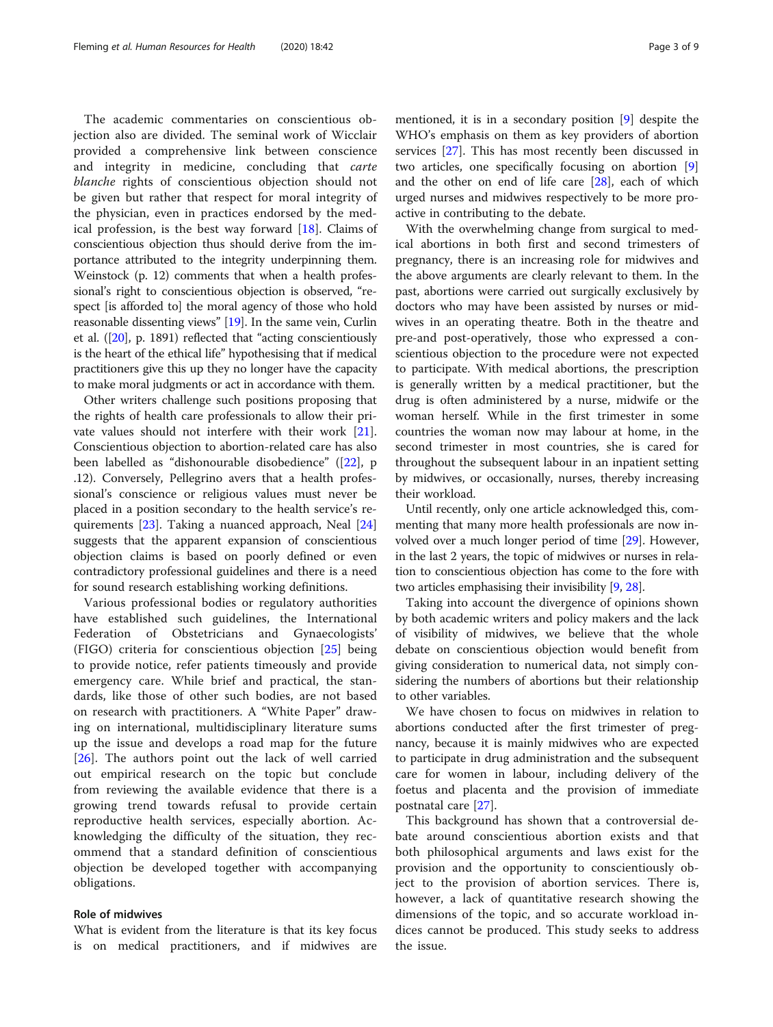The academic commentaries on conscientious objection also are divided. The seminal work of Wicclair provided a comprehensive link between conscience and integrity in medicine, concluding that *carte* blanche rights of conscientious objection should not be given but rather that respect for moral integrity of the physician, even in practices endorsed by the medical profession, is the best way forward [[18\]](#page-8-0). Claims of conscientious objection thus should derive from the importance attributed to the integrity underpinning them. Weinstock (p. 12) comments that when a health professional's right to conscientious objection is observed, "respect [is afforded to] the moral agency of those who hold reasonable dissenting views" [[19](#page-8-0)]. In the same vein, Curlin et al. ([\[20\]](#page-8-0), p. 1891) reflected that "acting conscientiously is the heart of the ethical life" hypothesising that if medical practitioners give this up they no longer have the capacity to make moral judgments or act in accordance with them.

Other writers challenge such positions proposing that the rights of health care professionals to allow their private values should not interfere with their work [\[21](#page-8-0)]. Conscientious objection to abortion-related care has also been labelled as "dishonourable disobedience" ([\[22\]](#page-8-0), p .12). Conversely, Pellegrino avers that a health professional's conscience or religious values must never be placed in a position secondary to the health service's requirements [[23\]](#page-8-0). Taking a nuanced approach, Neal [[24](#page-8-0)] suggests that the apparent expansion of conscientious objection claims is based on poorly defined or even contradictory professional guidelines and there is a need for sound research establishing working definitions.

Various professional bodies or regulatory authorities have established such guidelines, the International Federation of Obstetricians and Gynaecologists' (FIGO) criteria for conscientious objection [[25](#page-8-0)] being to provide notice, refer patients timeously and provide emergency care. While brief and practical, the standards, like those of other such bodies, are not based on research with practitioners. A "White Paper" drawing on international, multidisciplinary literature sums up the issue and develops a road map for the future [[26\]](#page-8-0). The authors point out the lack of well carried out empirical research on the topic but conclude from reviewing the available evidence that there is a growing trend towards refusal to provide certain reproductive health services, especially abortion. Acknowledging the difficulty of the situation, they recommend that a standard definition of conscientious objection be developed together with accompanying obligations.

# Role of midwives

What is evident from the literature is that its key focus is on medical practitioners, and if midwives are

mentioned, it is in a secondary position [[9\]](#page-8-0) despite the WHO's emphasis on them as key providers of abortion services [[27](#page-8-0)]. This has most recently been discussed in two articles, one specifically focusing on abortion [\[9](#page-8-0)] and the other on end of life care [\[28](#page-8-0)], each of which urged nurses and midwives respectively to be more proactive in contributing to the debate.

With the overwhelming change from surgical to medical abortions in both first and second trimesters of pregnancy, there is an increasing role for midwives and the above arguments are clearly relevant to them. In the past, abortions were carried out surgically exclusively by doctors who may have been assisted by nurses or midwives in an operating theatre. Both in the theatre and pre-and post-operatively, those who expressed a conscientious objection to the procedure were not expected to participate. With medical abortions, the prescription is generally written by a medical practitioner, but the drug is often administered by a nurse, midwife or the woman herself. While in the first trimester in some countries the woman now may labour at home, in the second trimester in most countries, she is cared for throughout the subsequent labour in an inpatient setting by midwives, or occasionally, nurses, thereby increasing their workload.

Until recently, only one article acknowledged this, commenting that many more health professionals are now involved over a much longer period of time [\[29\]](#page-8-0). However, in the last 2 years, the topic of midwives or nurses in relation to conscientious objection has come to the fore with two articles emphasising their invisibility [[9,](#page-8-0) [28\]](#page-8-0).

Taking into account the divergence of opinions shown by both academic writers and policy makers and the lack of visibility of midwives, we believe that the whole debate on conscientious objection would benefit from giving consideration to numerical data, not simply considering the numbers of abortions but their relationship to other variables.

We have chosen to focus on midwives in relation to abortions conducted after the first trimester of pregnancy, because it is mainly midwives who are expected to participate in drug administration and the subsequent care for women in labour, including delivery of the foetus and placenta and the provision of immediate postnatal care [[27\]](#page-8-0).

This background has shown that a controversial debate around conscientious abortion exists and that both philosophical arguments and laws exist for the provision and the opportunity to conscientiously object to the provision of abortion services. There is, however, a lack of quantitative research showing the dimensions of the topic, and so accurate workload indices cannot be produced. This study seeks to address the issue.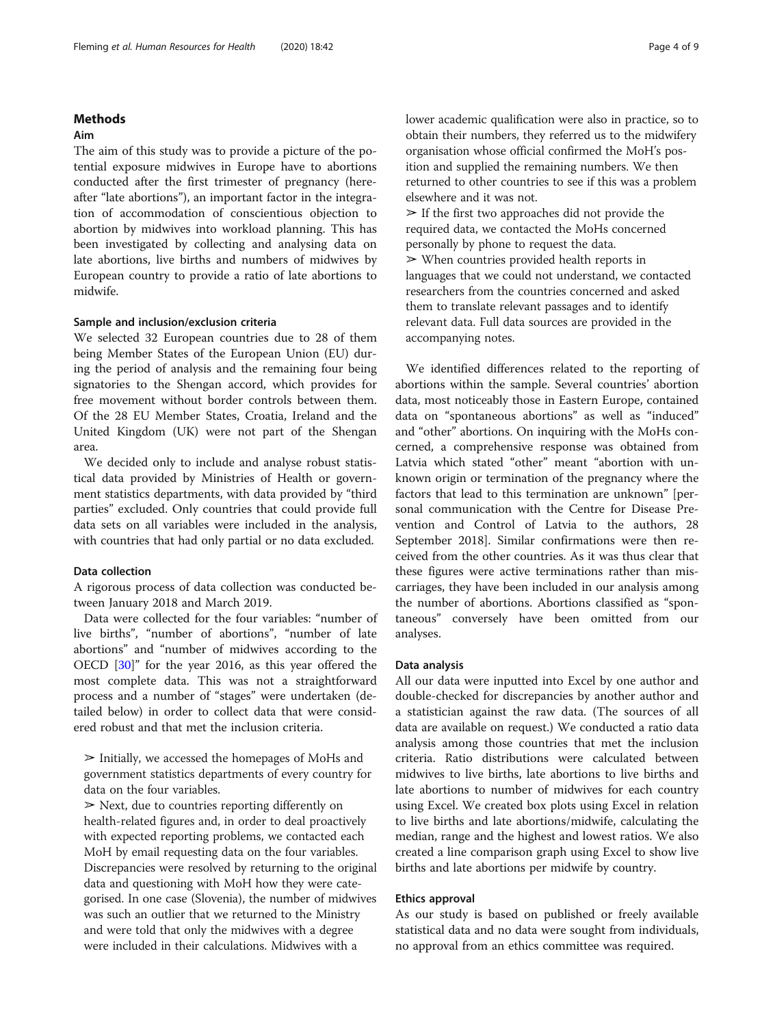# Methods

# Aim

The aim of this study was to provide a picture of the potential exposure midwives in Europe have to abortions conducted after the first trimester of pregnancy (hereafter "late abortions"), an important factor in the integration of accommodation of conscientious objection to abortion by midwives into workload planning. This has been investigated by collecting and analysing data on late abortions, live births and numbers of midwives by European country to provide a ratio of late abortions to midwife.

# Sample and inclusion/exclusion criteria

We selected 32 European countries due to 28 of them being Member States of the European Union (EU) during the period of analysis and the remaining four being signatories to the Shengan accord, which provides for free movement without border controls between them. Of the 28 EU Member States, Croatia, Ireland and the United Kingdom (UK) were not part of the Shengan area.

We decided only to include and analyse robust statistical data provided by Ministries of Health or government statistics departments, with data provided by "third parties" excluded. Only countries that could provide full data sets on all variables were included in the analysis, with countries that had only partial or no data excluded.

#### Data collection

A rigorous process of data collection was conducted between January 2018 and March 2019.

Data were collected for the four variables: "number of live births", "number of abortions", "number of late abortions" and "number of midwives according to the OECD [\[30\]](#page-8-0)" for the year 2016, as this year offered the most complete data. This was not a straightforward process and a number of "stages" were undertaken (detailed below) in order to collect data that were considered robust and that met the inclusion criteria.

 $\triangleright$  Initially, we accessed the homepages of MoHs and government statistics departments of every country for data on the four variables.

 $\blacktriangleright$  Next, due to countries reporting differently on health-related figures and, in order to deal proactively with expected reporting problems, we contacted each MoH by email requesting data on the four variables. Discrepancies were resolved by returning to the original data and questioning with MoH how they were categorised. In one case (Slovenia), the number of midwives was such an outlier that we returned to the Ministry and were told that only the midwives with a degree were included in their calculations. Midwives with a

lower academic qualification were also in practice, so to obtain their numbers, they referred us to the midwifery organisation whose official confirmed the MoH's position and supplied the remaining numbers. We then returned to other countries to see if this was a problem elsewhere and it was not.

 $\geq$  If the first two approaches did not provide the required data, we contacted the MoHs concerned personally by phone to request the data.  $\triangleright$  When countries provided health reports in languages that we could not understand, we contacted researchers from the countries concerned and asked them to translate relevant passages and to identify relevant data. Full data sources are provided in the accompanying notes.

We identified differences related to the reporting of abortions within the sample. Several countries' abortion data, most noticeably those in Eastern Europe, contained data on "spontaneous abortions" as well as "induced" and "other" abortions. On inquiring with the MoHs concerned, a comprehensive response was obtained from Latvia which stated "other" meant "abortion with unknown origin or termination of the pregnancy where the factors that lead to this termination are unknown" [personal communication with the Centre for Disease Prevention and Control of Latvia to the authors, 28 September 2018]. Similar confirmations were then received from the other countries. As it was thus clear that these figures were active terminations rather than miscarriages, they have been included in our analysis among the number of abortions. Abortions classified as "spontaneous" conversely have been omitted from our analyses.

#### Data analysis

All our data were inputted into Excel by one author and double-checked for discrepancies by another author and a statistician against the raw data. (The sources of all data are available on request.) We conducted a ratio data analysis among those countries that met the inclusion criteria. Ratio distributions were calculated between midwives to live births, late abortions to live births and late abortions to number of midwives for each country using Excel. We created box plots using Excel in relation to live births and late abortions/midwife, calculating the median, range and the highest and lowest ratios. We also created a line comparison graph using Excel to show live births and late abortions per midwife by country.

### Ethics approval

As our study is based on published or freely available statistical data and no data were sought from individuals, no approval from an ethics committee was required.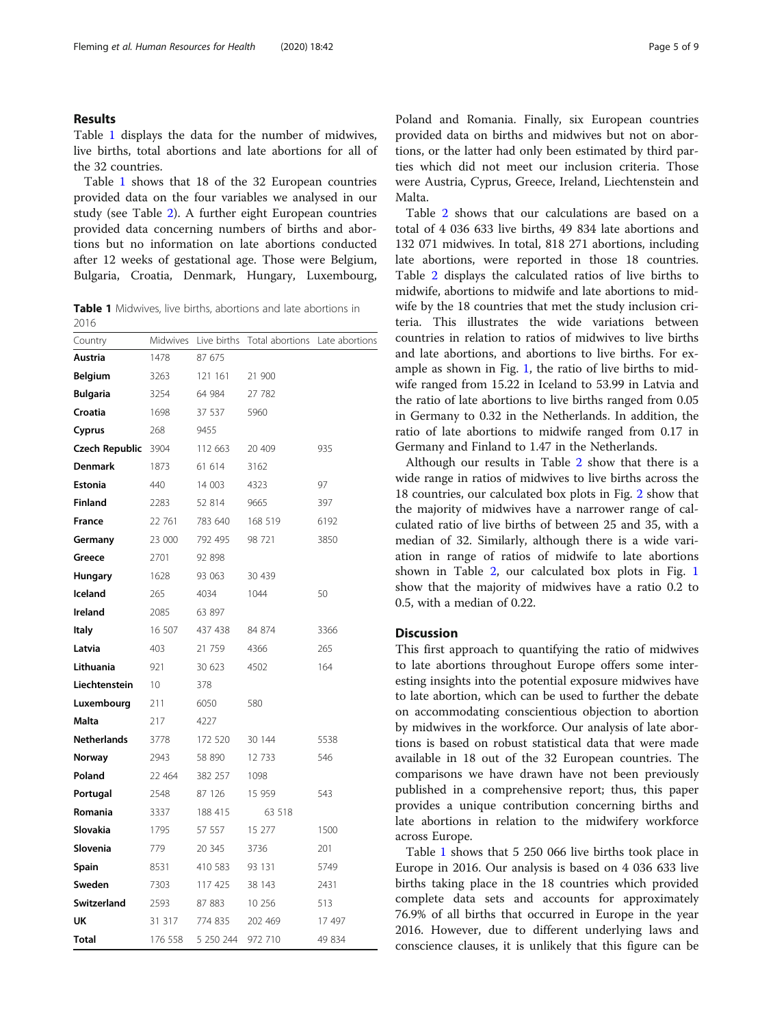# <span id="page-4-0"></span>Results

Table 1 displays the data for the number of midwives, live births, total abortions and late abortions for all of the 32 countries.

Table 1 shows that 18 of the 32 European countries provided data on the four variables we analysed in our study (see Table [2\)](#page-5-0). A further eight European countries provided data concerning numbers of births and abortions but no information on late abortions conducted after 12 weeks of gestational age. Those were Belgium, Bulgaria, Croatia, Denmark, Hungary, Luxembourg,

**Table 1** Midwives, live births, abortions and late abortions in 2016

| Country            | Midwives        | Live births | Total abortions | Late abortions |
|--------------------|-----------------|-------------|-----------------|----------------|
| Austria            | 1478            | 87 675      |                 |                |
| <b>Belgium</b>     | 3263            | 121 161     | 21 900          |                |
| <b>Bulgaria</b>    | 3254            | 64 984      | 27 782          |                |
| Croatia            | 1698            | 37 537      | 5960            |                |
| Cyprus             | 268             | 9455        |                 |                |
| Czech Republic     | 3904            | 112 663     | 20 409          | 935            |
| <b>Denmark</b>     | 1873            | 61 614      | 3162            |                |
| <b>Estonia</b>     | 440             | 14 003      | 4323            | 97             |
| <b>Finland</b>     | 2283            | 52 814      | 9665            | 397            |
| <b>France</b>      | 22 761          | 783 640     | 168 519         | 6192           |
| Germany            | 23 000          | 792 495     | 98 721          | 3850           |
| Greece             | 2701            | 92 898      |                 |                |
| <b>Hungary</b>     | 1628            | 93 063      | 30 439          |                |
| Iceland            | 265             | 4034        | 1044            | 50             |
| Ireland            | 2085            | 63 897      |                 |                |
| <b>Italy</b>       | 16 507          | 437 438     | 84 874          | 3366           |
| Latvia             | 403             | 21 759      | 4366            | 265            |
| Lithuania          | 921             | 30 623      | 4502            | 164            |
| Liechtenstein      | 10 <sup>°</sup> | 378         |                 |                |
| Luxembourg         | 211             | 6050        | 580             |                |
| Malta              | 217             | 4227        |                 |                |
| <b>Netherlands</b> | 3778            | 172 520     | 30 144          | 5538           |
| Norway             | 2943            | 58 890      | 12 733          | 546            |
| Poland             | 22 464          | 382 257     | 1098            |                |
| Portugal           | 2548            | 87 126      | 15 959          | 543            |
| Romania            | 3337            | 188 415     | 63 518          |                |
| Slovakia           | 1795            | 57 557      | 15 277          | 1500           |
| Slovenia           | 779             | 20 345      | 3736            | 201            |
| Spain              | 8531            | 410 583     | 93 131          | 5749           |
| Sweden             | 7303            | 117 425     | 38 143          | 2431           |
| Switzerland        | 2593            | 87 883      | 10 25 6         | 513            |
| UK                 | 31 317          | 774 835     | 202 469         | 17 497         |
| <b>Total</b>       | 176 558         | 5 250 244   | 972 710         | 49 834         |

Poland and Romania. Finally, six European countries provided data on births and midwives but not on abortions, or the latter had only been estimated by third parties which did not meet our inclusion criteria. Those were Austria, Cyprus, Greece, Ireland, Liechtenstein and Malta.

Table [2](#page-5-0) shows that our calculations are based on a total of 4 036 633 live births, 49 834 late abortions and 132 071 midwives. In total, 818 271 abortions, including late abortions, were reported in those 18 countries. Table [2](#page-5-0) displays the calculated ratios of live births to midwife, abortions to midwife and late abortions to midwife by the 18 countries that met the study inclusion criteria. This illustrates the wide variations between countries in relation to ratios of midwives to live births and late abortions, and abortions to live births. For example as shown in Fig. [1](#page-5-0), the ratio of live births to midwife ranged from 15.22 in Iceland to 53.99 in Latvia and the ratio of late abortions to live births ranged from 0.05 in Germany to 0.32 in the Netherlands. In addition, the ratio of late abortions to midwife ranged from 0.17 in Germany and Finland to 1.47 in the Netherlands.

Although our results in Table [2](#page-5-0) show that there is a wide range in ratios of midwives to live births across the 18 countries, our calculated box plots in Fig. [2](#page-6-0) show that the majority of midwives have a narrower range of calculated ratio of live births of between 25 and 35, with a median of 32. Similarly, although there is a wide variation in range of ratios of midwife to late abortions shown in Table [2,](#page-5-0) our calculated box plots in Fig. [1](#page-5-0) show that the majority of midwives have a ratio 0.2 to 0.5, with a median of 0.22.

# Discussion

This first approach to quantifying the ratio of midwives to late abortions throughout Europe offers some interesting insights into the potential exposure midwives have to late abortion, which can be used to further the debate on accommodating conscientious objection to abortion by midwives in the workforce. Our analysis of late abortions is based on robust statistical data that were made available in 18 out of the 32 European countries. The comparisons we have drawn have not been previously published in a comprehensive report; thus, this paper provides a unique contribution concerning births and late abortions in relation to the midwifery workforce across Europe.

Table 1 shows that 5 250 066 live births took place in Europe in 2016. Our analysis is based on 4 036 633 live births taking place in the 18 countries which provided complete data sets and accounts for approximately 76.9% of all births that occurred in Europe in the year 2016. However, due to different underlying laws and conscience clauses, it is unlikely that this figure can be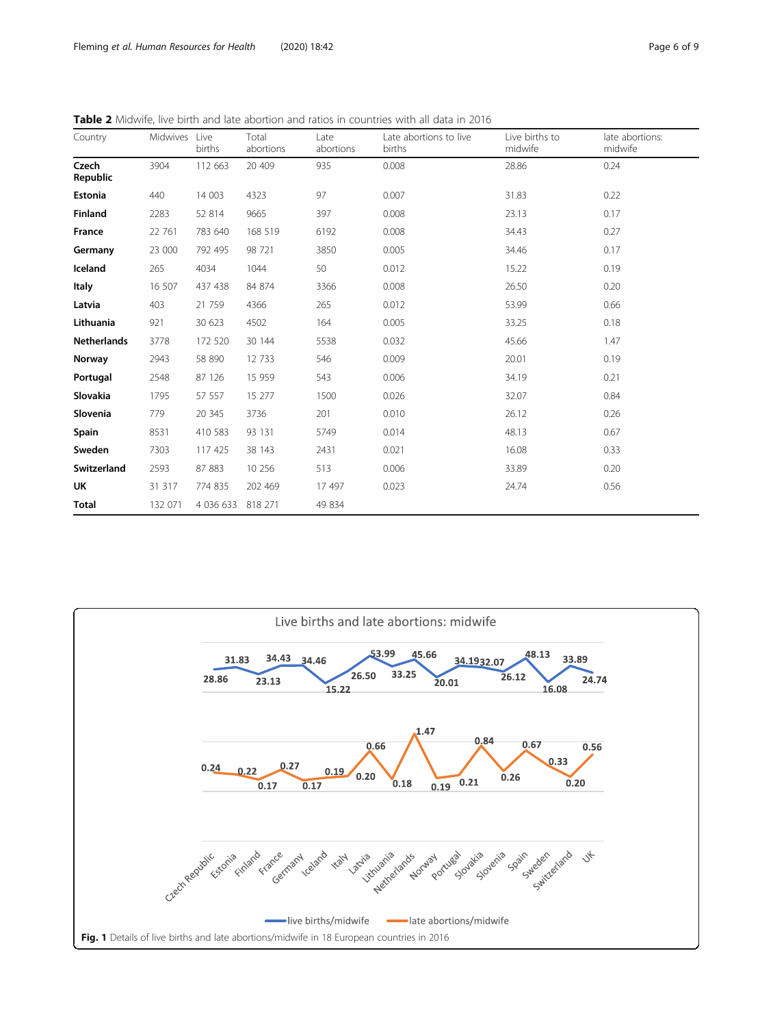<span id="page-5-0"></span>

|  | <b>Table 2</b> Midwife, live birth and late abortion and ratios in countries with all data in 2016 |
|--|----------------------------------------------------------------------------------------------------|
|--|----------------------------------------------------------------------------------------------------|

| Country            | Midwives | Live<br>births    | Total<br>abortions | Late<br>abortions | Late abortions to live<br>births | Live births to<br>midwife | late abortions:<br>midwife |
|--------------------|----------|-------------------|--------------------|-------------------|----------------------------------|---------------------------|----------------------------|
| Czech<br>Republic  | 3904     | 112 663           | 20 409             | 935               | 0.008                            | 28.86                     | 0.24                       |
| Estonia            | 440      | 14 003            | 4323               | 97                | 0.007                            | 31.83                     | 0.22                       |
| Finland            | 2283     | 52 814            | 9665               | 397               | 0.008                            | 23.13                     | 0.17                       |
| France             | 22 761   | 783 640           | 168 519            | 6192              | 0.008                            | 34.43                     | 0.27                       |
| Germany            | 23 000   | 792 495           | 98 721             | 3850              | 0.005                            | 34.46                     | 0.17                       |
| Iceland            | 265      | 4034              | 1044               | 50                | 0.012                            | 15.22                     | 0.19                       |
| <b>Italy</b>       | 16 507   | 437 438           | 84 874             | 3366              | 0.008                            | 26.50                     | 0.20                       |
| Latvia             | 403      | 21 759            | 4366               | 265               | 0.012                            | 53.99                     | 0.66                       |
| Lithuania          | 921      | 30 623            | 4502               | 164               | 0.005                            | 33.25                     | 0.18                       |
| <b>Netherlands</b> | 3778     | 172 520           | 30 144             | 5538              | 0.032                            | 45.66                     | 1.47                       |
| Norway             | 2943     | 58 890            | 12 7 33            | 546               | 0.009                            | 20.01                     | 0.19                       |
| Portugal           | 2548     | 87 126            | 15 959             | 543               | 0.006                            | 34.19                     | 0.21                       |
| Slovakia           | 1795     | 57 557            | 15 277             | 1500              | 0.026                            | 32.07                     | 0.84                       |
| Slovenia           | 779      | 20 345            | 3736               | 201               | 0.010                            | 26.12                     | 0.26                       |
| Spain              | 8531     | 410 583           | 93 131             | 5749              | 0.014                            | 48.13                     | 0.67                       |
| Sweden             | 7303     | 117 425           | 38 143             | 2431              | 0.021                            | 16.08                     | 0.33                       |
| Switzerland        | 2593     | 87 883            | 10 25 6            | 513               | 0.006                            | 33.89                     | 0.20                       |
| UK                 | 31 317   | 774 835           | 202 469            | 17 497            | 0.023                            | 24.74                     | 0.56                       |
| Total              | 132 071  | 4 036 633 818 271 |                    | 49 834            |                                  |                           |                            |

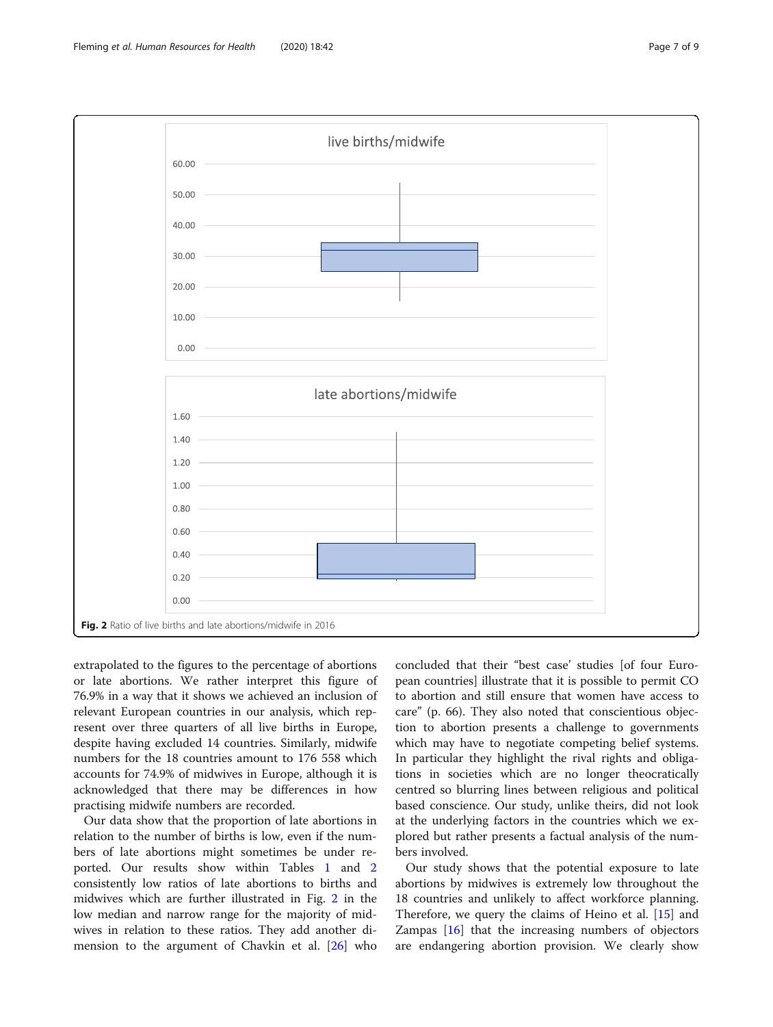<span id="page-6-0"></span>

extrapolated to the figures to the percentage of abortions or late abortions. We rather interpret this figure of 76.9% in a way that it shows we achieved an inclusion of relevant European countries in our analysis, which represent over three quarters of all live births in Europe, despite having excluded 14 countries. Similarly, midwife numbers for the 18 countries amount to 176 558 which accounts for 74.9% of midwives in Europe, although it is acknowledged that there may be differences in how practising midwife numbers are recorded.

Our data show that the proportion of late abortions in relation to the number of births is low, even if the numbers of late abortions might sometimes be under reported. Our results show within Tables [1](#page-4-0) and [2](#page-5-0) consistently low ratios of late abortions to births and midwives which are further illustrated in Fig. 2 in the low median and narrow range for the majority of midwives in relation to these ratios. They add another dimension to the argument of Chavkin et al. [\[26\]](#page-8-0) who

concluded that their "best case' studies [of four European countries] illustrate that it is possible to permit CO to abortion and still ensure that women have access to care" (p. 66). They also noted that conscientious objection to abortion presents a challenge to governments which may have to negotiate competing belief systems. In particular they highlight the rival rights and obligations in societies which are no longer theocratically centred so blurring lines between religious and political based conscience. Our study, unlike theirs, did not look at the underlying factors in the countries which we explored but rather presents a factual analysis of the numbers involved.

Our study shows that the potential exposure to late abortions by midwives is extremely low throughout the 18 countries and unlikely to affect workforce planning. Therefore, we query the claims of Heino et al. [[15\]](#page-8-0) and Zampas [[16\]](#page-8-0) that the increasing numbers of objectors are endangering abortion provision. We clearly show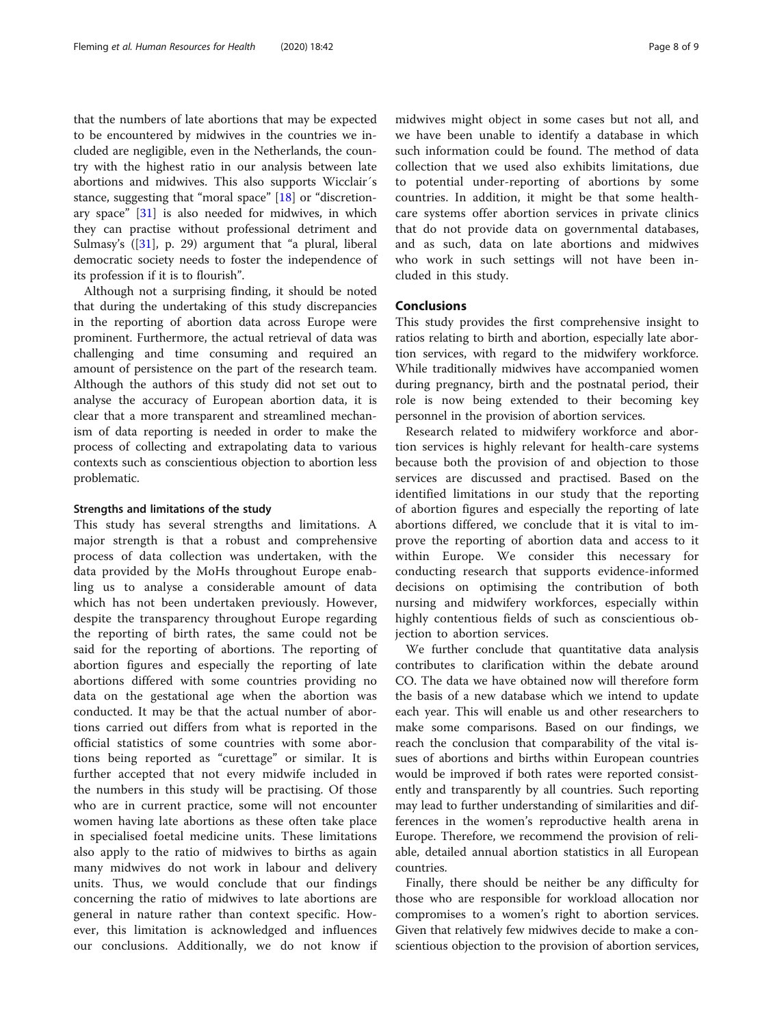that the numbers of late abortions that may be expected to be encountered by midwives in the countries we included are negligible, even in the Netherlands, the country with the highest ratio in our analysis between late abortions and midwives. This also supports Wicclair´s stance, suggesting that "moral space" [\[18\]](#page-8-0) or "discretionary space" [[31\]](#page-8-0) is also needed for midwives, in which they can practise without professional detriment and Sulmasy's ([\[31](#page-8-0)], p. 29) argument that "a plural, liberal democratic society needs to foster the independence of its profession if it is to flourish".

Although not a surprising finding, it should be noted that during the undertaking of this study discrepancies in the reporting of abortion data across Europe were prominent. Furthermore, the actual retrieval of data was challenging and time consuming and required an amount of persistence on the part of the research team. Although the authors of this study did not set out to analyse the accuracy of European abortion data, it is clear that a more transparent and streamlined mechanism of data reporting is needed in order to make the process of collecting and extrapolating data to various contexts such as conscientious objection to abortion less problematic.

#### Strengths and limitations of the study

This study has several strengths and limitations. A major strength is that a robust and comprehensive process of data collection was undertaken, with the data provided by the MoHs throughout Europe enabling us to analyse a considerable amount of data which has not been undertaken previously. However, despite the transparency throughout Europe regarding the reporting of birth rates, the same could not be said for the reporting of abortions. The reporting of abortion figures and especially the reporting of late abortions differed with some countries providing no data on the gestational age when the abortion was conducted. It may be that the actual number of abortions carried out differs from what is reported in the official statistics of some countries with some abortions being reported as "curettage" or similar. It is further accepted that not every midwife included in the numbers in this study will be practising. Of those who are in current practice, some will not encounter women having late abortions as these often take place in specialised foetal medicine units. These limitations also apply to the ratio of midwives to births as again many midwives do not work in labour and delivery units. Thus, we would conclude that our findings concerning the ratio of midwives to late abortions are general in nature rather than context specific. However, this limitation is acknowledged and influences our conclusions. Additionally, we do not know if

midwives might object in some cases but not all, and we have been unable to identify a database in which such information could be found. The method of data collection that we used also exhibits limitations, due to potential under-reporting of abortions by some countries. In addition, it might be that some healthcare systems offer abortion services in private clinics that do not provide data on governmental databases, and as such, data on late abortions and midwives who work in such settings will not have been included in this study.

#### Conclusions

This study provides the first comprehensive insight to ratios relating to birth and abortion, especially late abortion services, with regard to the midwifery workforce. While traditionally midwives have accompanied women during pregnancy, birth and the postnatal period, their role is now being extended to their becoming key personnel in the provision of abortion services.

Research related to midwifery workforce and abortion services is highly relevant for health-care systems because both the provision of and objection to those services are discussed and practised. Based on the identified limitations in our study that the reporting of abortion figures and especially the reporting of late abortions differed, we conclude that it is vital to improve the reporting of abortion data and access to it within Europe. We consider this necessary for conducting research that supports evidence-informed decisions on optimising the contribution of both nursing and midwifery workforces, especially within highly contentious fields of such as conscientious objection to abortion services.

We further conclude that quantitative data analysis contributes to clarification within the debate around CO. The data we have obtained now will therefore form the basis of a new database which we intend to update each year. This will enable us and other researchers to make some comparisons. Based on our findings, we reach the conclusion that comparability of the vital issues of abortions and births within European countries would be improved if both rates were reported consistently and transparently by all countries. Such reporting may lead to further understanding of similarities and differences in the women's reproductive health arena in Europe. Therefore, we recommend the provision of reliable, detailed annual abortion statistics in all European countries.

Finally, there should be neither be any difficulty for those who are responsible for workload allocation nor compromises to a women's right to abortion services. Given that relatively few midwives decide to make a conscientious objection to the provision of abortion services,